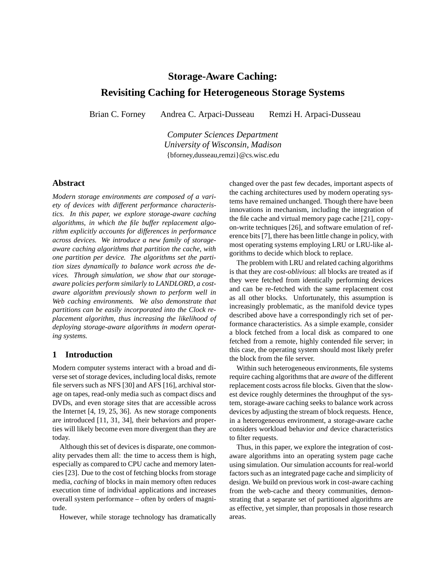# **Storage-Aware Caching:**

# **Revisiting Caching for Heterogeneous Storage Systems**

Brian C. Forney Andrea C. Arpaci-Dusseau Remzi H. Arpaci-Dusseau

*Computer Sciences Department University of Wisconsin, Madison* {bforney,dusseau,remzi}@cs.wisc.edu

## **Abstract**

*Modern storage environments are composed of a variety of devices with different performance characteristics. In this paper, we explore storage-aware caching algorithms, in which the file buffer replacement algorithm explicitly accounts for differences in performance across devices. We introduce a new family of storageaware caching algorithms that partition the cache, with one partition per device. The algorithms set the partition sizes dynamically to balance work across the devices. Through simulation, we show that our storageaware policies perform similarly to LANDLORD, a costaware algorithm previously shown to perform well in Web caching environments. We also demonstrate that partitions can be easily incorporated into the Clock replacement algorithm, thus increasing the likelihood of deploying storage-aware algorithms in modern operating systems.*

## **1 Introduction**

Modern computer systems interact with a broad and diverse set of storage devices, including local disks, remote file servers such as NFS [30] and AFS [16], archival storage on tapes, read-only media such as compact discs and DVDs, and even storage sites that are accessible across the Internet [4, 19, 25, 36]. As new storage components are introduced [11, 31, 34], their behaviors and properties will likely become even more divergent than they are today.

Although this set of devices is disparate, one commonality pervades them all: the time to access them is high, especially as compared to CPU cache and memory latencies [23]. Due to the cost of fetching blocks from storage media, *caching* of blocks in main memory often reduces execution time of individual applications and increases overall system performance – often by orders of magnitude.

However, while storage technology has dramatically

changed over the past few decades, important aspects of the caching architectures used by modern operating systems have remained unchanged. Though there have been innovations in mechanism, including the integration of the file cache and virtual memory page cache [21], copyon-write techniques [26], and software emulation of reference bits [7], there has been little change in policy, with most operating systems employing LRU or LRU-like algorithms to decide which block to replace.

The problem with LRU and related caching algorithms is that they are *cost-oblivious*: all blocks are treated as if they were fetched from identically performing devices and can be re-fetched with the same replacement cost as all other blocks. Unfortunately, this assumption is increasingly problematic, as the manifold device types described above have a correspondingly rich set of performance characteristics. As a simple example, consider a block fetched from a local disk as compared to one fetched from a remote, highly contended file server; in this case, the operating system should most likely prefer the block from the file server.

Within such heterogeneous environments, file systems require caching algorithms that are *aware* of the different replacement costs across file blocks. Given that the slowest device roughly determines the throughput of the system, storage-aware caching seeks to balance work across devices by adjusting the stream of block requests. Hence, in a heterogeneous environment, a storage-aware cache considers workload behavior *and* device characteristics to filter requests.

Thus, in this paper, we explore the integration of costaware algorithms into an operating system page cache using simulation. Our simulation accounts for real-world factors such as an integrated page cache and simplicity of design. We build on previous work in cost-aware caching from the web-cache and theory communities, demonstrating that a separate set of partitioned algorithms are as effective, yet simpler, than proposals in those research areas.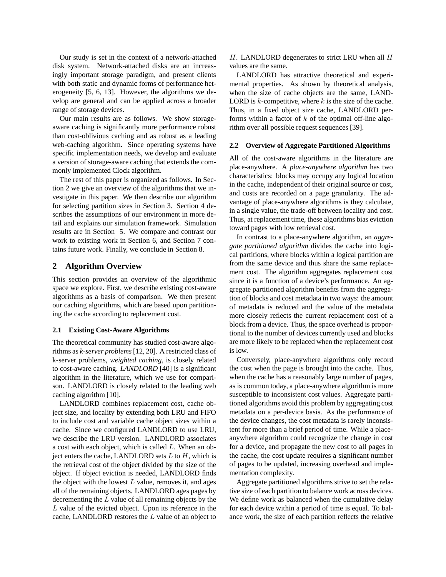Our study is set in the context of a network-attached disk system. Network-attached disks are an increasingly important storage paradigm, and present clients with both static and dynamic forms of performance heterogeneity [5, 6, 13]. However, the algorithms we develop are general and can be applied across a broader range of storage devices.

Our main results are as follows. We show storageaware caching is significantly more performance robust than cost-oblivious caching and as robust as a leading web-caching algorithm. Since operating systems have specific implementation needs, we develop and evaluate a version of storage-aware caching that extends the commonly implemented Clock algorithm.

The rest of this paper is organized as follows. In Section 2 we give an overview of the algorithms that we investigate in this paper. We then describe our algorithm for selecting partition sizes in Section 3. Section 4 describes the assumptions of our environment in more detail and explains our simulation framework. Simulation results are in Section 5. We compare and contrast our work to existing work in Section 6, and Section 7 contains future work. Finally, we conclude in Section 8.

## **2 Algorithm Overview**

This section provides an overview of the algorithmic space we explore. First, we describe existing cost-aware algorithms as a basis of comparison. We then present our caching algorithms, which are based upon partitioning the cache according to replacement cost.

#### **2.1 Existing Cost-Aware Algorithms**

The theoretical community has studied cost-aware algorithms as *k-server problems* [12, 20]. A restricted class of k-server problems, *weighted caching*, is closely related to cost-aware caching. *LANDLORD* [40] is a significant algorithm in the literature, which we use for comparison. LANDLORD is closely related to the leading web caching algorithm [10].

LANDLORD combines replacement cost, cache object size, and locality by extending both LRU and FIFO to include cost and variable cache object sizes within a cache. Since we configured LANDLORD to use LRU, we describe the LRU version. LANDLORD associates a cost with each object, which is called L. When an object enters the cache, LANDLORD sets  $L$  to  $H$ , which is the retrieval cost of the object divided by the size of the object. If object eviction is needed, LANDLORD finds the object with the lowest  $L$  value, removes it, and ages all of the remaining objects. LANDLORD ages pages by decrementing the L value of all remaining objects by the  $L$  value of the evicted object. Upon its reference in the cache, LANDLORD restores the  $L$  value of an object to

 $H$ . LANDLORD degenerates to strict LRU when all  $H$ values are the same.

LANDLORD has attractive theoretical and experimental properties. As shown by theoretical analysis, when the size of cache objects are the same, LAND-LORD is  $k$ -competitive, where  $k$  is the size of the cache. Thus, in a fixed object size cache, LANDLORD performs within a factor of  $k$  of the optimal off-line algorithm over all possible request sequences [39].

#### **2.2 Overview of Aggregate Partitioned Algorithms**

All of the cost-aware algorithms in the literature are place-anywhere. A *place-anywhere algorithm* has two characteristics: blocks may occupy any logical location in the cache, independent of their original source or cost, and costs are recorded on a page granularity. The advantage of place-anywhere algorithms is they calculate, in a single value, the trade-off between locality and cost. Thus, at replacement time, these algorithms bias eviction toward pages with low retrieval cost.

In contrast to a place-anywhere algorithm, an *aggregate partitioned algorithm* divides the cache into logical partitions, where blocks within a logical partition are from the same device and thus share the same replacement cost. The algorithm aggregates replacement cost since it is a function of a device's performance. An aggregate partitioned algorithm benefits from the aggregation of blocks and cost metadata in two ways: the amount of metadata is reduced and the value of the metadata more closely reflects the current replacement cost of a block from a device. Thus, the space overhead is proportional to the number of devices currently used and blocks are more likely to be replaced when the replacement cost is low.

Conversely, place-anywhere algorithms only record the cost when the page is brought into the cache. Thus, when the cache has a reasonably large number of pages, as is common today, a place-anywhere algorithm is more susceptible to inconsistent cost values. Aggregate partitioned algorithms avoid this problem by aggregating cost metadata on a per-device basis. As the performance of the device changes, the cost metadata is rarely inconsistent for more than a brief period of time. While a placeanywhere algorithm could recognize the change in cost for a device, and propagate the new cost to all pages in the cache, the cost update requires a significant number of pages to be updated, increasing overhead and implementation complexity.

Aggregate partitioned algorithms strive to set the relative size of each partition to balance work across devices. We define work as balanced when the cumulative delay for each device within a period of time is equal. To balance work, the size of each partition reflects the relative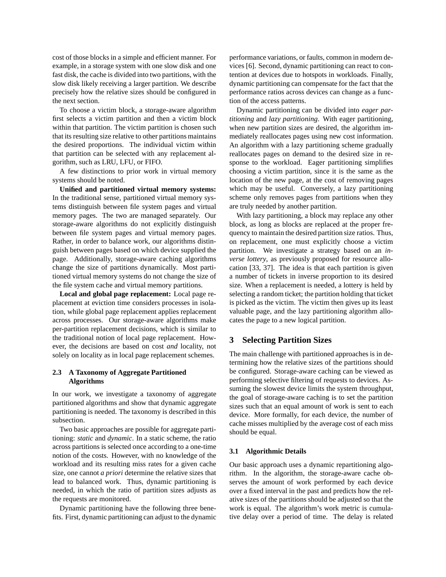cost of those blocks in a simple and efficient manner. For example, in a storage system with one slow disk and one fast disk, the cache is divided into two partitions, with the slow disk likely receiving a larger partition. We describe precisely how the relative sizes should be configured in the next section.

To choose a victim block, a storage-aware algorithm first selects a victim partition and then a victim block within that partition. The victim partition is chosen such that its resulting size relative to other partitions maintains the desired proportions. The individual victim within that partition can be selected with any replacement algorithm, such as LRU, LFU, or FIFO.

A few distinctions to prior work in virtual memory systems should be noted.

**Unified and partitioned virtual memory systems:** In the traditional sense, partitioned virtual memory systems distinguish between file system pages and virtual memory pages. The two are managed separately. Our storage-aware algorithms do not explicitly distinguish between file system pages and virtual memory pages. Rather, in order to balance work, our algorithms distinguish between pages based on which device supplied the page. Additionally, storage-aware caching algorithms change the size of partitions dynamically. Most partitioned virtual memory systems do not change the size of the file system cache and virtual memory partitions.

**Local and global page replacement:** Local page replacement at eviction time considers processes in isolation, while global page replacement applies replacement across processes. Our storage-aware algorithms make per-partition replacement decisions, which is similar to the traditional notion of local page replacement. However, the decisions are based on cost *and* locality, not solely on locality as in local page replacement schemes.

## **2.3 A Taxonomy of Aggregate Partitioned Algorithms**

In our work, we investigate a taxonomy of aggregate partitioned algorithms and show that dynamic aggregate partitioning is needed. The taxonomy is described in this subsection.

Two basic approaches are possible for aggregate partitioning: *static* and *dynamic*. In a static scheme, the ratio across partitions is selected once according to a one-time notion of the costs. However, with no knowledge of the workload and its resulting miss rates for a given cache size, one cannot *a priori* determine the relative sizes that lead to balanced work. Thus, dynamic partitioning is needed, in which the ratio of partition sizes adjusts as the requests are monitored.

Dynamic partitioning have the following three benefits. First, dynamic partitioning can adjust to the dynamic performance variations, or faults, common in modern devices [6]. Second, dynamic partitioning can react to contention at devices due to hotspots in workloads. Finally, dynamic partitioning can compensate for the fact that the performance ratios across devices can change as a function of the access patterns.

Dynamic partitioning can be divided into *eager partitioning* and *lazy partitioning*. With eager partitioning, when new partition sizes are desired, the algorithm immediately reallocates pages using new cost information. An algorithm with a lazy partitioning scheme gradually reallocates pages on demand to the desired size in response to the workload. Eager partitioning simplifies choosing a victim partition, since it is the same as the location of the new page, at the cost of removing pages which may be useful. Conversely, a lazy partitioning scheme only removes pages from partitions when they are truly needed by another partition.

With lazy partitioning, a block may replace any other block, as long as blocks are replaced at the proper frequency to maintain the desired partition size ratios. Thus, on replacement, one must explicitly choose a victim partition. We investigate a strategy based on an *inverse lottery*, as previously proposed for resource allocation [33, 37]. The idea is that each partition is given a number of tickets in inverse proportion to its desired size. When a replacement is needed, a lottery is held by selecting a random ticket; the partition holding that ticket is picked as the victim. The victim then gives up its least valuable page, and the lazy partitioning algorithm allocates the page to a new logical partition.

## **3 Selecting Partition Sizes**

The main challenge with partitioned approaches is in determining how the relative sizes of the partitions should be configured. Storage-aware caching can be viewed as performing selective filtering of requests to devices. Assuming the slowest device limits the system throughput, the goal of storage-aware caching is to set the partition sizes such that an equal amount of work is sent to each device. More formally, for each device, the number of cache misses multiplied by the average cost of each miss should be equal.

## **3.1 Algorithmic Details**

Our basic approach uses a dynamic repartitioning algorithm. In the algorithm, the storage-aware cache observes the amount of work performed by each device over a fixed interval in the past and predicts how the relative sizes of the partitions should be adjusted so that the work is equal. The algorithm's work metric is cumulative delay over a period of time. The delay is related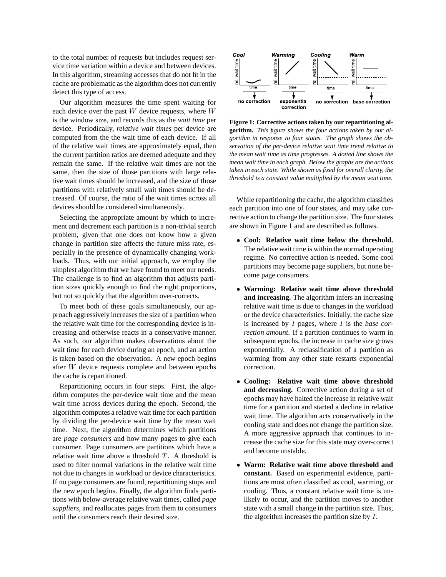to the total number of requests but includes request service time variation within a device and between devices. In this algorithm, streaming accesses that do not fit in the cache are problematic as the algorithm does not currently detect this type of access.

Our algorithm measures the time spent waiting for each device over the past  $W$  device requests, where  $W$ is the window size, and records this as the *wait time* per device. Periodically, *relative wait times* per device are computed from the the wait time of each device. If all of the relative wait times are approximately equal, then the current partition ratios are deemed adequate and they remain the same. If the relative wait times are not the same, then the size of those partitions with large relative wait times should be increased, and the size of those partitions with relatively small wait times should be decreased. Of course, the ratio of the wait times across all devices should be considered simultaneously.

Selecting the appropriate amount by which to increment and decrement each partition is a non-trivial search problem, given that one does not know how a given change in partition size affects the future miss rate, especially in the presence of dynamically changing workloads. Thus, with our initial approach, we employ the simplest algorithm that we have found to meet our needs. The challenge is to find an algorithm that adjusts partition sizes quickly enough to find the right proportions, but not so quickly that the algorithm over-corrects.

To meet both of these goals simultaneously, our approach aggressively increases the size of a partition when the relative wait time for the corresponding device is increasing and otherwise reacts in a conservative manner. As such, our algorithm makes observations about the wait time for each device during an epoch, and an action is taken based on the observation. A new epoch begins after W device requests complete and between epochs the cache is repartitioned.

Repartitioning occurs in four steps. First, the algorithm computes the per-device wait time and the mean wait time across devices during the epoch. Second, the algorithm computes a relative wait time for each partition by dividing the per-device wait time by the mean wait time. Next, the algorithm determines which partitions are *page consumers* and how many pages to give each consumer. Page consumers are partitions which have a relative wait time above a threshold  $T$ . A threshold is used to filter normal variations in the relative wait time not due to changes in workload or device characteristics. If no page consumers are found, repartitioning stops and the new epoch begins. Finally, the algorithm finds partitions with below-average relative wait times, called *page suppliers*, and reallocates pages from them to consumers until the consumers reach their desired size.



**Figure 1: Corrective actions taken by our repartitioning algorithm.** *This figure shows the four actions taken by our algorithm in response to four states. The graph shows the observation of the per-device relative wait time trend relative to the mean wait time as time progresses. A dotted line shows the mean wait time in each graph. Below the graphs are the actions taken in each state. While shown as fixed for overall clarity, the threshold is a constant value multiplied by the mean wait time.*

While repartitioning the cache, the algorithm classifies each partition into one of four states, and may take corrective action to change the partition size. The four states are shown in Figure 1 and are described as follows.

- **Cool: Relative wait time below the threshold.** The relative wait time is within the normal operating regime. No corrective action is needed. Some cool partitions may become page suppliers, but none become page consumers.
- **Warming: Relative wait time above threshold and increasing.** The algorithm infers an increasing relative wait time is due to changes in the workload or the device characteristics. Initially, the cache size is increased by I pages, where I is the *base correction amount*. If a partition continues to warm in subsequent epochs, the increase in cache size grows exponentially. A reclassification of a partition as warming from any other state restarts exponential correction.
- **Cooling: Relative wait time above threshold and decreasing.** Corrective action during a set of epochs may have halted the increase in relative wait time for a partition and started a decline in relative wait time. The algorithm acts conservatively in the cooling state and does not change the partition size. A more aggressive approach that continues to increase the cache size for this state may over-correct and become unstable.
- **Warm: Relative wait time above threshold and constant.** Based on experimental evidence, partitions are most often classified as cool, warming, or cooling. Thus, a constant relative wait time is unlikely to occur, and the partition moves to another state with a small change in the partition size. Thus, the algorithm increases the partition size by  $I$ .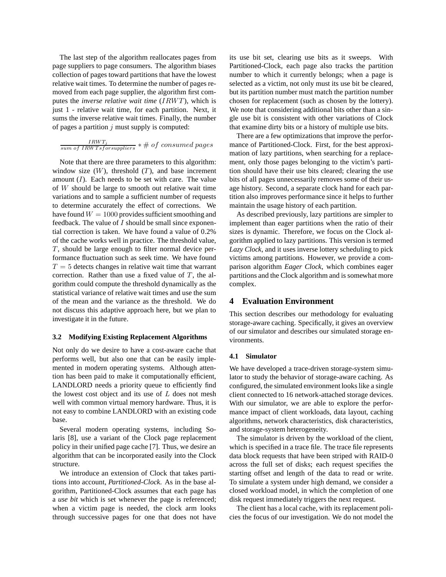The last step of the algorithm reallocates pages from page suppliers to page consumers. The algorithm biases collection of pages toward partitions that have the lowest relative wait times. To determine the number of pages removed from each page supplier, the algorithm first computes the *inverse relative wait time* (IRWT), which is just 1 - relative wait time, for each partition. Next, it sums the inverse relative wait times. Finally, the number of pages a partition  $j$  must supply is computed:

 $\frac{IRWT_{j}}{sum\ of\ IRWTs for suppliers}$  \* # of consumed pages

Note that there are three parameters to this algorithm: window size  $(W)$ , threshold  $(T)$ , and base increment amount  $(I)$ . Each needs to be set with care. The value of W should be large to smooth out relative wait time variations and to sample a sufficient number of requests to determine accurately the effect of corrections. We have found  $W = 1000$  provides sufficient smoothing and feedback. The value of  $I$  should be small since exponential correction is taken. We have found a value of 0.2% of the cache works well in practice. The threshold value, T, should be large enough to filter normal device performance fluctuation such as seek time. We have found  $T = 5$  detects changes in relative wait time that warrant correction. Rather than use a fixed value of  $T$ , the algorithm could compute the threshold dynamically as the statistical variance of relative wait times and use the sum of the mean and the variance as the threshold. We do not discuss this adaptive approach here, but we plan to investigate it in the future.

#### **3.2 Modifying Existing Replacement Algorithms**

Not only do we desire to have a cost-aware cache that performs well, but also one that can be easily implemented in modern operating systems. Although attention has been paid to make it computationally efficient, LANDLORD needs a priority queue to efficiently find the lowest cost object and its use of  $L$  does not mesh well with common virtual memory hardware. Thus, it is not easy to combine LANDLORD with an existing code base.

Several modern operating systems, including Solaris [8], use a variant of the Clock page replacement policy in their unified page cache [7]. Thus, we desire an algorithm that can be incorporated easily into the Clock structure.

We introduce an extension of Clock that takes partitions into account, *Partitioned-Clock*. As in the base algorithm, Partitioned-Clock assumes that each page has a *use bit* which is set whenever the page is referenced; when a victim page is needed, the clock arm looks through successive pages for one that does not have its use bit set, clearing use bits as it sweeps. With Partitioned-Clock, each page also tracks the partition number to which it currently belongs; when a page is selected as a victim, not only must its use bit be cleared, but its partition number must match the partition number chosen for replacement (such as chosen by the lottery). We note that considering additional bits other than a single use bit is consistent with other variations of Clock that examine dirty bits or a history of multiple use bits.

There are a few optimizations that improve the performance of Partitioned-Clock. First, for the best approximation of lazy partitions, when searching for a replacement, only those pages belonging to the victim's partition should have their use bits cleared; clearing the use bits of all pages unnecessarily removes some of their usage history. Second, a separate clock hand for each partition also improves performance since it helps to further maintain the usage history of each partition.

As described previously, lazy partitions are simpler to implement than eager partitions when the ratio of their sizes is dynamic. Therefore, we focus on the Clock algorithm applied to lazy partitions. This version is termed *Lazy Clock*, and it uses inverse lottery scheduling to pick victims among partitions. However, we provide a comparison algorithm *Eager Clock*, which combines eager partitions and the Clock algorithm and is somewhat more complex.

## **4 Evaluation Environment**

This section describes our methodology for evaluating storage-aware caching. Specifically, it gives an overview of our simulator and describes our simulated storage environments.

#### **4.1 Simulator**

We have developed a trace-driven storage-system simulator to study the behavior of storage-aware caching. As configured, the simulated environment looks like a single client connected to 16 network-attached storage devices. With our simulator, we are able to explore the performance impact of client workloads, data layout, caching algorithms, network characteristics, disk characteristics, and storage-system heterogeneity.

The simulator is driven by the workload of the client, which is specified in a trace file. The trace file represents data block requests that have been striped with RAID-0 across the full set of disks; each request specifies the starting offset and length of the data to read or write. To simulate a system under high demand, we consider a closed workload model, in which the completion of one disk request immediately triggers the next request.

The client has a local cache, with its replacement policies the focus of our investigation. We do not model the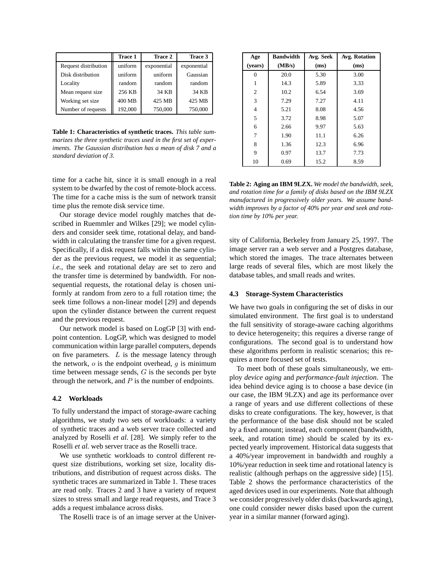|                      | <b>Trace 1</b> | Trace 2     | Trace 3     |
|----------------------|----------------|-------------|-------------|
| Request distribution | uniform        | exponential | exponential |
| Disk distribution    | uniform        | uniform     | Gaussian    |
| Locality             | random         | random      | random      |
| Mean request size    | 256 KB         | 34 KB       | 34 KB       |
| Working set size     | 400 MB         | 425 MB      | 425 MB      |
| Number of requests   | 192,000        | 750,000     | 750,000     |

**Table 1: Characteristics of synthetic traces.** *This table summarizes the three synthetic traces used in the first set of experiments. The Gaussian distribution has a mean of disk 7 and a standard deviation of 3.*

time for a cache hit, since it is small enough in a real system to be dwarfed by the cost of remote-block access. The time for a cache miss is the sum of network transit time plus the remote disk service time.

Our storage device model roughly matches that described in Ruemmler and Wilkes [29]; we model cylinders and consider seek time, rotational delay, and bandwidth in calculating the transfer time for a given request. Specifically, if a disk request falls within the same cylinder as the previous request, we model it as sequential; *i.e.*, the seek and rotational delay are set to zero and the transfer time is determined by bandwidth. For nonsequential requests, the rotational delay is chosen uniformly at random from zero to a full rotation time; the seek time follows a non-linear model [29] and depends upon the cylinder distance between the current request and the previous request.

Our network model is based on LogGP [3] with endpoint contention. LogGP, which was designed to model communication within large parallel computers, depends on five parameters.  $L$  is the message latency through the network,  $\sigma$  is the endpoint overhead,  $q$  is minimum time between message sends,  $G$  is the seconds per byte through the network, and  $P$  is the number of endpoints.

#### **4.2 Workloads**

To fully understand the impact of storage-aware caching algorithms, we study two sets of workloads: a variety of synthetic traces and a web server trace collected and analyzed by Roselli *et al.* [28]. We simply refer to the Roselli *et al.* web server trace as the Roselli trace.

We use synthetic workloads to control different request size distributions, working set size, locality distributions, and distribution of request across disks. The synthetic traces are summarized in Table 1. These traces are read only. Traces 2 and 3 have a variety of request sizes to stress small and large read requests, and Trace 3 adds a request imbalance across disks.

The Roselli trace is of an image server at the Univer-

| Age     | <b>Bandwidth</b> | Avg. Seek | Avg. Rotation |
|---------|------------------|-----------|---------------|
| (years) | (MB/s)           | (ms)      | (ms)          |
| 0       | 20.0             | 5.30      | 3.00          |
| 1       | 14.3             | 5.89      | 3.33          |
| 2       | 10.2             | 6.54      | 3.69          |
| 3       | 7.29             | 7.27      | 4.11          |
| 4       | 5.21             | 8.08      | 4.56          |
| 5       | 3.72             | 8.98      | 5.07          |
| 6       | 2.66             | 9.97      | 5.63          |
| 7       | 1.90             | 11.1      | 6.26          |
| 8       | 1.36             | 12.3      | 6.96          |
| 9       | 0.97             | 13.7      | 7.73          |
| 10      | 0.69             | 15.2      | 8.59          |

**Table 2: Aging an IBM 9LZX.** *We model the bandwidth, seek, and rotation time for a family of disks based on the IBM 9LZX manufactured in progressively older years. We assume bandwidth improves by a factor of 40% per year and seek and rotation time by 10% per year.*

sity of California, Berkeley from January 25, 1997. The image server ran a web server and a Postgres database, which stored the images. The trace alternates between large reads of several files, which are most likely the database tables, and small reads and writes.

#### **4.3 Storage-System Characteristics**

We have two goals in configuring the set of disks in our simulated environment. The first goal is to understand the full sensitivity of storage-aware caching algorithms to device heterogeneity; this requires a diverse range of configurations. The second goal is to understand how these algorithms perform in realistic scenarios; this requires a more focused set of tests.

To meet both of these goals simultaneously, we employ *device aging* and *performance-fault injection*. The idea behind device aging is to choose a base device (in our case, the IBM 9LZX) and age its performance over a range of years and use different collections of these disks to create configurations. The key, however, is that the performance of the base disk should not be scaled by a fixed amount; instead, each component (bandwidth, seek, and rotation time) should be scaled by its expected yearly improvement. Historical data suggests that a 40%/year improvement in bandwidth and roughly a 10%/year reduction in seek time and rotational latency is realistic (although perhaps on the aggressive side) [15]. Table 2 shows the performance characteristics of the aged devices used in our experiments. Note that although we consider progressively older disks (backwards aging), one could consider newer disks based upon the current year in a similar manner (forward aging).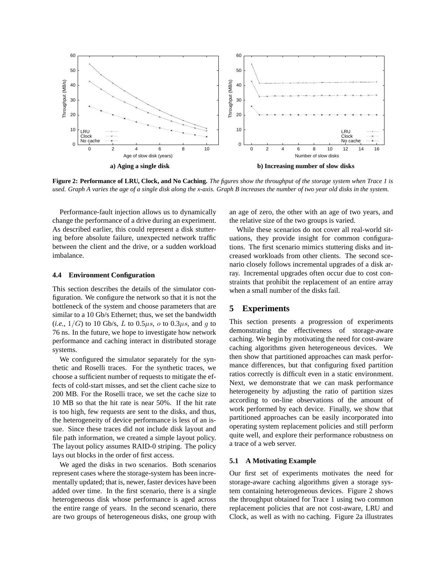

Figure 2: Performance of LRU, Clock, and No Caching. The figures show the throughput of the storage system when Trace 1 is used. Graph A varies the age of a single disk along the x-axis. Graph B increases the number of two year old disks in the system.

Performance-fault injection allows us to dynamically change the performance of a drive during an experiment. As described earlier, this could represent a disk stuttering before absolute failure, unexpected network traffic between the client and the drive, or a sudden workload imbalance.

#### **4.4 Environment Configuration**

This section describes the details of the simulator configuration. We configure the network so that it is not the bottleneck of the system and choose parameters that are similar to a 10 Gb/s Ethernet; thus, we set the bandwidth  $(i.e., 1/G)$  to 10 Gb/s, L to 0.5 $\mu$ s, o to 0.3 $\mu$ s, and g to 76 ns. In the future, we hope to investigate how network performance and caching interact in distributed storage systems.

We configured the simulator separately for the synthetic and Roselli traces. For the synthetic traces, we choose a sufficient number of requests to mitigate the effects of cold-start misses, and set the client cache size to 200 MB. For the Roselli trace, we set the cache size to 10 MB so that the hit rate is near 50%. If the hit rate is too high, few requests are sent to the disks, and thus, the heterogeneity of device performance is less of an issue. Since these traces did not include disk layout and file path information, we created a simple layout policy. The layout policy assumes RAID-0 striping. The policy lays out blocks in the order of first access.

We aged the disks in two scenarios. Both scenarios represent cases where the storage-system has been incrementally updated; that is, newer, faster devices have been added over time. In the first scenario, there is a single heterogeneous disk whose performance is aged across the entire range of years. In the second scenario, there are two groups of heterogeneous disks, one group with an age of zero, the other with an age of two years, and the relative size of the two groups is varied.

While these scenarios do not cover all real-world situations, they provide insight for common configurations. The first scenario mimics stuttering disks and increased workloads from other clients. The second scenario closely follows incremental upgrades of a disk array. Incremental upgrades often occur due to cost constraints that prohibit the replacement of an entire array when a small number of the disks fail.

## **5 Experiments**

This section presents a progression of experiments demonstrating the effectiveness of storage-aware caching. We begin by motivating the need for cost-aware caching algorithms given heterogeneous devices. We then show that partitioned approaches can mask performance differences, but that configuring fixed partition ratios correctly is difficult even in a static environment. Next, we demonstrate that we can mask performance heterogeneity by adjusting the ratio of partition sizes according to on-line observations of the amount of work performed by each device. Finally, we show that partitioned approaches can be easily incorporated into operating system replacement policies and still perform quite well, and explore their performance robustness on a trace of a web server.

#### **5.1 A Motivating Example**

Our first set of experiments motivates the need for storage-aware caching algorithms given a storage system containing heterogeneous devices. Figure 2 shows the throughput obtained for Trace 1 using two common replacement policies that are not cost-aware, LRU and Clock, as well as with no caching. Figure 2a illustrates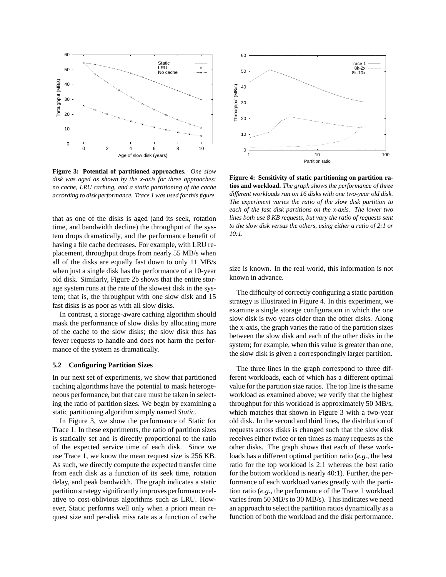

**Figure 3: Potential of partitioned approaches.** *One slow disk was aged as shown by the x-axis for three approaches: no cache, LRU caching, and a static partitioning of the cache according to disk performance. Trace 1 was used forthis figure.*

that as one of the disks is aged (and its seek, rotation time, and bandwidth decline) the throughput of the system drops dramatically, and the performance benefit of having a file cache decreases. For example, with LRU replacement, throughput drops from nearly 55 MB/s when all of the disks are equally fast down to only 11 MB/s when just a single disk has the performance of a 10-year old disk. Similarly, Figure 2b shows that the entire storage system runs at the rate of the slowest disk in the system; that is, the throughput with one slow disk and 15 fast disks is as poor as with all slow disks.

In contrast, a storage-aware caching algorithm should mask the performance of slow disks by allocating more of the cache to the slow disks; the slow disk thus has fewer requests to handle and does not harm the performance of the system as dramatically.

### **5.2 Configuring Partition Sizes**

In our next set of experiments, we show that partitioned caching algorithms have the potential to mask heterogeneous performance, but that care must be taken in selecting the ratio of partition sizes. We begin by examining a static partitioning algorithm simply named *Static*.

In Figure 3, we show the performance of Static for Trace 1. In these experiments, the ratio of partition sizes is statically set and is directly proportional to the ratio of the expected service time of each disk. Since we use Trace 1, we know the mean request size is 256 KB. As such, we directly compute the expected transfer time from each disk as a function of its seek time, rotation delay, and peak bandwidth. The graph indicates a static partition strategy significantly improves performance relative to cost-oblivious algorithms such as LRU. However, Static performs well only when a priori mean request size and per-disk miss rate as a function of cache



**Figure 4: Sensitivity of static partitioning on partition ratios and workload.** *The graph shows the performance of three different workloads run on 16 disks with one two-year old disk. The experiment varies the ratio of the slow disk partition to each of the fast disk partitions on the x-axis. The lower two lines both use 8 KB requests, but vary the ratio of requests sent to the slow disk versus the others, using either a ratio of 2:1 or 10:1.*

size is known. In the real world, this information is not known in advance.

The difficulty of correctly configuring a static partition strategy is illustrated in Figure 4. In this experiment, we examine a single storage configuration in which the one slow disk is two years older than the other disks. Along the x-axis, the graph varies the ratio of the partition sizes between the slow disk and each of the other disks in the system; for example, when this value is greater than one, the slow disk is given a correspondingly larger partition.

The three lines in the graph correspond to three different workloads, each of which has a different optimal value for the partition size ratios. The top line is the same workload as examined above; we verify that the highest throughput for this workload is approximately 50 MB/s, which matches that shown in Figure 3 with a two-year old disk. In the second and third lines, the distribution of requests across disks is changed such that the slow disk receives either twice or ten times as many requests as the other disks. The graph shows that each of these workloads has a different optimal partition ratio (*e.g.*, the best ratio for the top workload is 2:1 whereas the best ratio for the bottom workload is nearly 40:1). Further, the performance of each workload varies greatly with the partition ratio (*e.g.*, the performance of the Trace 1 workload varies from 50 MB/s to 30 MB/s). This indicates we need an approach to select the partition ratios dynamically as a function of both the workload and the disk performance.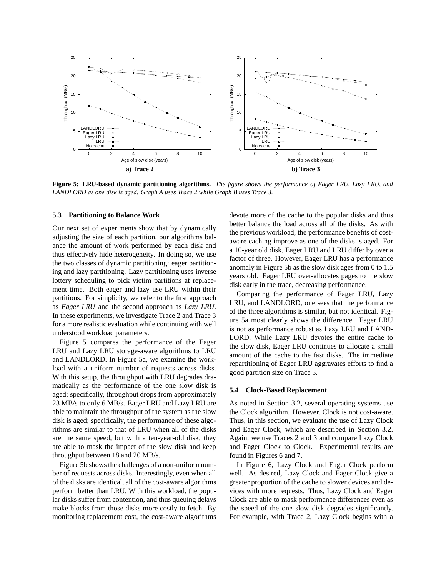

Figure 5: LRU-based dynamic partitioning algorithms. The figure shows the performance of Eager LRU, Lazy LRU, and *LANDLORD as one disk is aged. Graph A uses Trace 2 while Graph B uses Trace 3.*

#### **5.3 Partitioning to Balance Work**

Our next set of experiments show that by dynamically adjusting the size of each partition, our algorithms balance the amount of work performed by each disk and thus effectively hide heterogeneity. In doing so, we use the two classes of dynamic partitioning: eager partitioning and lazy partitioning. Lazy partitioning uses inverse lottery scheduling to pick victim partitions at replacement time. Both eager and lazy use LRU within their partitions. For simplicity, we refer to the first approach as *Eager LRU* and the second approach as *Lazy LRU*. In these experiments, we investigate Trace 2 and Trace 3 for a more realistic evaluation while continuing with well understood workload parameters.

Figure 5 compares the performance of the Eager LRU and Lazy LRU storage-aware algorithms to LRU and LANDLORD. In Figure 5a, we examine the workload with a uniform number of requests across disks. With this setup, the throughput with LRU degrades dramatically as the performance of the one slow disk is aged; specifically, throughput drops from approximately 23 MB/s to only 6 MB/s. Eager LRU and Lazy LRU are able to maintain the throughput of the system as the slow disk is aged; specifically, the performance of these algorithms are similar to that of LRU when all of the disks are the same speed, but with a ten-year-old disk, they are able to mask the impact of the slow disk and keep throughput between 18 and 20 MB/s.

Figure 5b shows the challenges of a non-uniform number of requests across disks. Interestingly, even when all of the disks are identical, all of the cost-aware algorithms perform better than LRU. With this workload, the popular disks suffer from contention, and thus queuing delays make blocks from those disks more costly to fetch. By monitoring replacement cost, the cost-aware algorithms devote more of the cache to the popular disks and thus better balance the load across all of the disks. As with the previous workload, the performance benefits of costaware caching improve as one of the disks is aged. For a 10-year old disk, Eager LRU and LRU differ by over a factor of three. However, Eager LRU has a performance anomaly in Figure 5b as the slow disk ages from 0 to 1.5 years old. Eager LRU over-allocates pages to the slow disk early in the trace, decreasing performance.

Comparing the performance of Eager LRU, Lazy LRU, and LANDLORD, one sees that the performance of the three algorithms is similar, but not identical. Figure 5a most clearly shows the difference. Eager LRU is not as performance robust as Lazy LRU and LAND-LORD. While Lazy LRU devotes the entire cache to the slow disk, Eager LRU continues to allocate a small amount of the cache to the fast disks. The immediate repartitioning of Eager LRU aggravates efforts to find a good partition size on Trace 3.

#### **5.4 Clock-Based Replacement**

As noted in Section 3.2, several operating systems use the Clock algorithm. However, Clock is not cost-aware. Thus, in this section, we evaluate the use of Lazy Clock and Eager Clock, which are described in Section 3.2. Again, we use Traces 2 and 3 and compare Lazy Clock and Eager Clock to Clock. Experimental results are found in Figures 6 and 7.

In Figure 6, Lazy Clock and Eager Clock perform well. As desired, Lazy Clock and Eager Clock give a greater proportion of the cache to slower devices and devices with more requests. Thus, Lazy Clock and Eager Clock are able to mask performance differences even as the speed of the one slow disk degrades significantly. For example, with Trace 2, Lazy Clock begins with a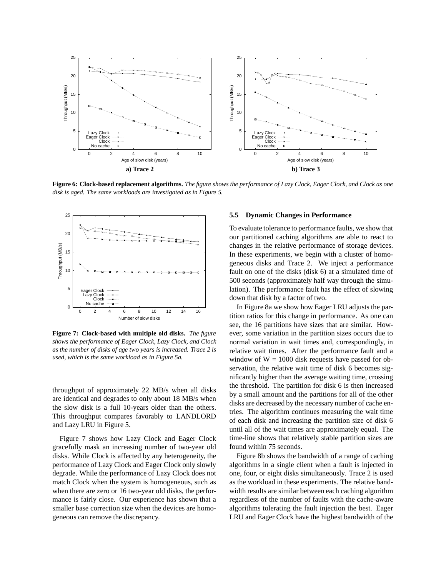

Figure 6: Clock-based replacement algorithms. The figure shows the performance of Lazy Clock, Eager Clock, and Clock as one *disk is aged. The same workloads are investigated as in Figure 5.*



**Figure 7: Clock-based with multiple old disks.** *The figure shows the performance of Eager Clock, Lazy Clock, and Clock as the number of disks of age two years is increased. Trace 2 is used, which is the same workload as in Figure 5a.*

throughput of approximately 22 MB/s when all disks are identical and degrades to only about 18 MB/s when the slow disk is a full 10-years older than the others. This throughput compares favorably to LANDLORD and Lazy LRU in Figure 5.

Figure 7 shows how Lazy Clock and Eager Clock gracefully mask an increasing number of two-year old disks. While Clock is affected by any heterogeneity, the performance of Lazy Clock and Eager Clock only slowly degrade. While the performance of Lazy Clock does not match Clock when the system is homogeneous, such as when there are zero or 16 two-year old disks, the performance is fairly close. Our experience has shown that a smaller base correction size when the devices are homogeneous can remove the discrepancy.

#### **5.5 Dynamic Changes in Performance**

To evaluate tolerance to performance faults, we show that our partitioned caching algorithms are able to react to changes in the relative performance of storage devices. In these experiments, we begin with a cluster of homogeneous disks and Trace 2. We inject a performance fault on one of the disks (disk 6) at a simulated time of 500 seconds (approximately half way through the simulation). The performance fault has the effect of slowing down that disk by a factor of two.

In Figure 8a we show how Eager LRU adjusts the partition ratios for this change in performance. As one can see, the 16 partitions have sizes that are similar. However, some variation in the partition sizes occurs due to normal variation in wait times and, correspondingly, in relative wait times. After the performance fault and a window of  $W = 1000$  disk requests have passed for observation, the relative wait time of disk 6 becomes significantly higher than the average waiting time, crossing the threshold. The partition for disk 6 is then increased by a small amount and the partitions for all of the other disks are decreased by the necessary number of cache entries. The algorithm continues measuring the wait time of each disk and increasing the partition size of disk 6 until all of the wait times are approximately equal. The time-line shows that relatively stable partition sizes are found within 75 seconds.

Figure 8b shows the bandwidth of a range of caching algorithms in a single client when a fault is injected in one, four, or eight disks simultaneously. Trace 2 is used as the workload in these experiments. The relative bandwidth results are similar between each caching algorithm regardless of the number of faults with the cache-aware algorithms tolerating the fault injection the best. Eager LRU and Eager Clock have the highest bandwidth of the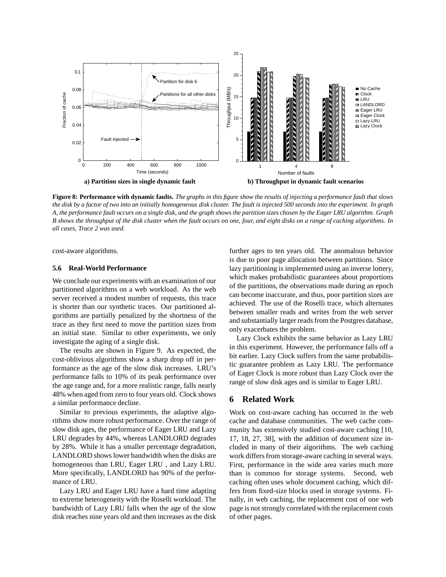

Figure 8: Performance with dynamic faults. The graphs in this figure show the results of injecting a performance fault that slows the disk by a factor of two into an initially homogeneous disk cluster. The fault is injected 500 seconds into the experiment. In graph A, the performance fault occurs on a single disk, and the graph shows the partition sizes chosen by the Eager LRU algorithm. Graph B shows the throughput of the disk cluster when the fault occurs on one, four, and eight disks on a range of caching algorithms. In *all cases, Trace 2 was used.*

cost-aware algorithms.

## **5.6 Real-World Performance**

We conclude our experiments with an examination of our partitioned algorithms on a web workload. As the web server received a modest number of requests, this trace is shorter than our synthetic traces. Our partitioned algorithms are partially penalized by the shortness of the trace as they first need to move the partition sizes from an initial state. Similar to other experiments, we only investigate the aging of a single disk.

The results are shown in Figure 9. As expected, the cost-oblivious algorithms show a sharp drop off in performance as the age of the slow disk increases. LRU's performance falls to 10% of its peak performance over the age range and, for a more realistic range, falls nearly 48% when aged from zero to four years old. Clock shows a similar performance decline.

Similar to previous experiments, the adaptive algorithms show more robust performance. Over the range of slow disk ages, the performance of Eager LRU and Lazy LRU degrades by 44%, whereas LANDLORD degrades by 28%. While it has a smaller percentage degradation, LANDLORD shows lower bandwidth when the disks are homogeneous than LRU, Eager LRU , and Lazy LRU. More specifically, LANDLORD has 90% of the performance of LRU.

Lazy LRU and Eager LRU have a hard time adapting to extreme heterogeneity with the Roselli workload. The bandwidth of Lazy LRU falls when the age of the slow disk reaches nine years old and then increases as the disk further ages to ten years old. The anomalous behavior is due to poor page allocation between partitions. Since lazy partitioning is implemented using an inverse lottery, which makes probabilistic guarantees about proportions of the partitions, the observations made during an epoch can become inaccurate, and thus, poor partition sizes are achieved. The use of the Roselli trace, which alternates between smaller reads and writes from the web server and substantially larger reads from the Postgres database, only exacerbates the problem.

Lazy Clock exhibits the same behavior as Lazy LRU in this experiment. However, the performance falls off a bit earlier. Lazy Clock suffers from the same probabilistic guarantee problem as Lazy LRU. The performance of Eager Clock is more robust than Lazy Clock over the range of slow disk ages and is similar to Eager LRU.

## **6 Related Work**

Work on cost-aware caching has occurred in the web cache and database communities. The web cache community has extensively studied cost-aware caching [10, 17, 18, 27, 38], with the addition of document size included in many of their algorithms. The web caching work differs from storage-aware caching in several ways. First, performance in the wide area varies much more than is common for storage systems. Second, web caching often uses whole document caching, which differs from fixed-size blocks used in storage systems. Finally, in web caching, the replacement cost of one web page is not strongly correlated with the replacement costs of other pages.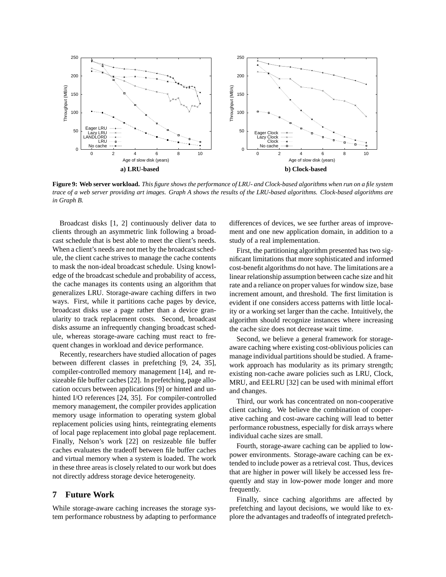

Figure 9: Web server workload. This figure shows the performance of LRU- and Clock-based algorithms when run on a file system trace of a web server providing art images. Graph A shows the results of the LRU-based algorithms. Clock-based algorithms are *in Graph B.*

Broadcast disks [1, 2] continuously deliver data to clients through an asymmetric link following a broadcast schedule that is best able to meet the client's needs. When a client's needs are not met by the broadcast schedule, the client cache strives to manage the cache contents to mask the non-ideal broadcast schedule. Using knowledge of the broadcast schedule and probability of access, the cache manages its contents using an algorithm that generalizes LRU. Storage-aware caching differs in two ways. First, while it partitions cache pages by device, broadcast disks use a page rather than a device granularity to track replacement costs. Second, broadcast disks assume an infrequently changing broadcast schedule, whereas storage-aware caching must react to frequent changes in workload and device performance.

Recently, researchers have studied allocation of pages between different classes in prefetching [9, 24, 35], compiler-controlled memory management [14], and resizeable file buffer caches [22]. In prefetching, page allocation occurs between applications [9] or hinted and unhinted I/O references [24, 35]. For compiler-controlled memory management, the compiler provides application memory usage information to operating system global replacement policies using hints, reintegrating elements of local page replacement into global page replacement. Finally, Nelson's work [22] on resizeable file buffer caches evaluates the tradeoff between file buffer caches and virtual memory when a system is loaded. The work in these three areas is closely related to our work but does not directly address storage device heterogeneity.

## **7 Future Work**

While storage-aware caching increases the storage system performance robustness by adapting to performance differences of devices, we see further areas of improvement and one new application domain, in addition to a study of a real implementation.

First, the partitioning algorithm presented has two significant limitations that more sophisticated and informed cost-benefit algorithms do not have. The limitations are a linear relationship assumption between cache size and hit rate and a reliance on proper values for window size, base increment amount, and threshold. The first limitation is evident if one considers access patterns with little locality or a working set larger than the cache. Intuitively, the algorithm should recognize instances where increasing the cache size does not decrease wait time.

Second, we believe a general framework for storageaware caching where existing cost-oblivious policies can manage individual partitions should be studied. A framework approach has modularity as its primary strength; existing non-cache aware policies such as LRU, Clock, MRU, and EELRU [32] can be used with minimal effort and changes.

Third, our work has concentrated on non-cooperative client caching. We believe the combination of cooperative caching and cost-aware caching will lead to better performance robustness, especially for disk arrays where individual cache sizes are small.

Fourth, storage-aware caching can be applied to lowpower environments. Storage-aware caching can be extended to include power as a retrieval cost. Thus, devices that are higher in power will likely be accessed less frequently and stay in low-power mode longer and more frequently.

Finally, since caching algorithms are affected by prefetching and layout decisions, we would like to explore the advantages and tradeoffs of integrated prefetch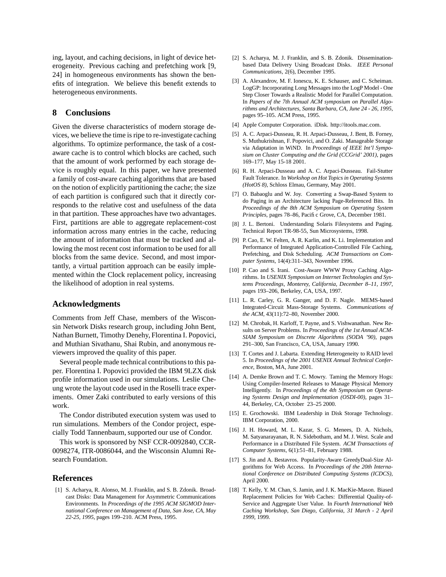ing, layout, and caching decisions, in light of device heterogeneity. Previous caching and prefetching work [9, 24] in homogeneous environments has shown the benefits of integration. We believe this benefit extends to heterogeneous environments.

## **8 Conclusions**

Given the diverse characteristics of modern storage devices, we believe the time is ripe to re-investigate caching algorithms. To optimize performance, the task of a costaware cache is to control which blocks are cached, such that the amount of work performed by each storage device is roughly equal. In this paper, we have presented a family of cost-aware caching algorithms that are based on the notion of explicitly partitioning the cache; the size of each partition is configured such that it directly corresponds to the relative cost and usefulness of the data in that partition. These approaches have two advantages. First, partitions are able to aggregate replacement-cost information across many entries in the cache, reducing the amount of information that must be tracked and allowing the most recent cost information to be used for all blocks from the same device. Second, and most importantly, a virtual partition approach can be easily implemented within the Clock replacement policy, increasing the likelihood of adoption in real systems.

## **Acknowledgments**

Comments from Jeff Chase, members of the Wisconsin Network Disks research group, including John Bent, Nathan Burnett, Timothy Denehy, Florentina I. Popovici, and Muthian Sivathanu, Shai Rubin, and anonymous reviewers improved the quality of this paper.

Several people made technical contributions to this paper. Florentina I. Popovici provided the IBM 9LZX disk profile information used in our simulations. Leslie Cheung wrote the layout code used in the Roselli trace experiments. Omer Zaki contributed to early versions of this work.

The Condor distributed execution system was used to run simulations. Members of the Condor project, especially Todd Tannenbaum, supported our use of Condor.

This work is sponsored by NSF CCR-0092840, CCR-0098274, ITR-0086044, and the Wisconsin Alumni Research Foundation.

## **References**

[1] S. Acharya, R. Alonso, M. J. Franklin, and S. B. Zdonik. Broadcast Disks: Data Management for Asymmetric Communications Environments. In *Proceedings of the 1995 ACM SIGMOD International Conference on Management of Data, San Jose, CA, May 22-25, 1995*, pages 199–210. ACM Press, 1995.

- [2] S. Acharya, M. J. Franklin, and S. B. Zdonik. Disseminationbased Data Delivery Using Broadcast Disks. *IEEE Personal Communications*, 2(6), December 1995.
- [3] A. Alexandrov, M. F. Ionescu, K. E. Schauser, and C. Scheiman. LogGP: Incorporating Long Messages into the LogP Model - One Step Closer Towards a Realistic Model for Parallel Computation. In *Papers of the 7th Annual ACM symposium on Parallel Algorithms and Architectures, Santa Barbara, CA, June 24 - 26, 1995*, pages 95–105. ACM Press, 1995.
- [4] Apple Computer Corporation. iDisk. http://itools.mac.com.
- [5] A. C. Arpaci-Dusseau, R. H. Arpaci-Dusseau, J. Bent, B. Forney, S. Muthukrishnan, F. Popovici, and O. Zaki. Manageable Storage via Adaptation in WiND. In *Proceedings of IEEE Int'l Symposium on Cluster Computing and the Grid (CCGrid' 2001)*, pages 169–177, May 15-18 2001.
- [6] R. H. Arpaci-Dusseau and A. C. Arpaci-Dusseau. Fail-Stutter Fault Tolerance. In *Workshop on Hot Topics in Operating Systems (HotOS 8)*, Schloss Elmau, Germany, May 2001.
- [7] O. Babaoglu and W. Joy. Converting a Swap-Based System to do Paging in an Architecture lacking Page-Referenced Bits. In *Proceedings of the 8th ACM Symposium on Operating System Principles*, pages 78–86, Pacific Grove, CA, December 1981.
- [8] J. L. Bertoni. Understanding Solaris Filesystems and Paging. Technical Report TR-98-55, Sun Microsystems, 1998.
- [9] P. Cao, E. W. Felten, A. R. Karlin, and K. Li. Implementation and Performance of Integrated Application-Controlled File Caching, Prefetching, and Disk Scheduling. *ACM Transactions on Computer Systems*, 14(4):311–343, November 1996.
- [10] P. Cao and S. Irani. Cost-Aware WWW Proxy Caching Algorithms. In *USENIX Symposium on Internet Technologies and Systems Proceedings, Monterey, California, December 8–11, 1997*, pages 193–206, Berkeley, CA, USA, 1997.
- [11] L. R. Carley, G. R. Ganger, and D. F. Nagle. MEMS-based Integrated-Circuit Mass-Storage Systems. *Communications of the ACM*, 43(11):72–80, November 2000.
- [12] M. Chrobak, H. Karloff, T. Payne, and S. Vishwanathan. New Results on Server Problems. In *Proceedings of the 1st Annual ACM-SIAM Symposium on Discrete Algorithms (SODA '90)*, pages 291–300, San Francisco, CA, USA, January 1990.
- [13] T. Cortes and J. Labarta. Extending Heterogeneity to RAID level 5. In *Proceedings of the 2001 USENIX Annual Technical Conference*, Boston, MA, June 2001.
- [14] A. Demke Brown and T. C. Mowry. Taming the Memory Hogs: Using Compiler-Inserted Releases to Manage Physical Memory Intelligently. In *Proceedings of the 4th Symposium on Operating Systems Design and Implementation (OSDI-00)*, pages 31– 44, Berkeley, CA, October 23–25 2000.
- [15] E. Grochowski. IBM Leadership in Disk Storage Technology. IBM Corporation, 2000.
- [16] J. H. Howard, M. L. Kazar, S. G. Menees, D. A. Nichols, M. Satyanarayanan, R. N. Sidebotham, and M. J. West. Scale and Performance in a Distributed File System. *ACM Transactions of Computer Systems*, 6(1):51–81, February 1988.
- [17] S. Jin and A. Bestavros. Popularity-Aware GreedyDual-Size Algorithms for Web Access. In *Proceedings of the 20th International Conference on Distributed Computing Systems (ICDCS)*, April 2000.
- [18] T. Kelly, Y. M. Chan, S. Jamin, and J. K. MacKie-Mason. Biased Replacement Policies for Web Caches: Differential Quality-of-Service and Aggregate User Value. In *Fourth International Web Caching Workshop, San Diego, California, 31 March - 2 April 1999*, 1999.